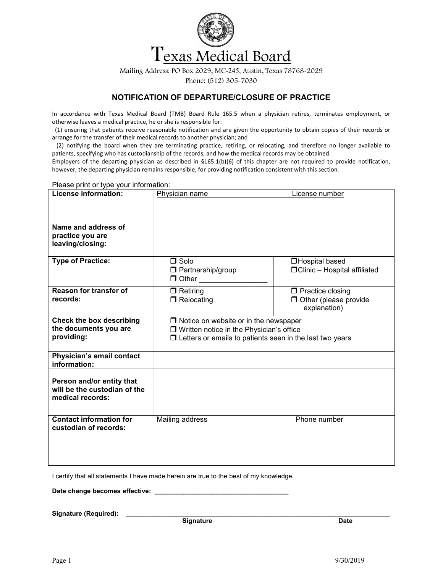

Mailing Address: PO Box 2029, MC-245, Austin, Texas 78768-2029 Phone: (512) 305-7030

## NOTIFICATION OF DEPARTURE/CLOSURE OF PRACTICE

In accordance with Texas Medical Board (TMB) Board Rule 165.5 when a physician retires, terminates employment, or otherwise leaves a medical practice, he or she is responsible for:

 (1) ensuring that patients receive reasonable notification and are given the opportunity to obtain copies of their records or arrange for the transfer of their medical records to another physician; and

 (2) notifying the board when they are terminating practice, retiring, or relocating, and therefore no longer available to patients, specifying who has custodianship of the records, and how the medical records may be obtained.

Employers of the departing physician as described in §165.1(b)(6) of this chapter are not required to provide notification, however, the departing physician remains responsible, for providing notification consistent with this section.

Please print or type your information: License information: Physician name License number Name and address of practice you are leaving/closing: Type of Practice: and Solo  $\Box$  Partnership/group  $\Box$  Other Hospital based Clinic – Hospital affiliated Reason for transfer of records: □ Retiring **□** Relocating  $\Box$  Practice closing  $\Box$  Other (please provide explanation) Check the box describing the documents you are providing:  $\Box$  Notice on website or in the newspaper □ Written notice in the Physician's office  $\Box$  Letters or emails to patients seen in the last two years Physician's email contact information: Person and/or entity that will be the custodian of the medical records: Contact information for custodian of records: Mailing address **Phone number** 

I certify that all statements I have made herein are true to the best of my knowledge.

Date change becomes effective:

Signature (Required):

**Signature Date is a straightfully developed by Date** in the Date of the Date of the Date of the Date of the Date o